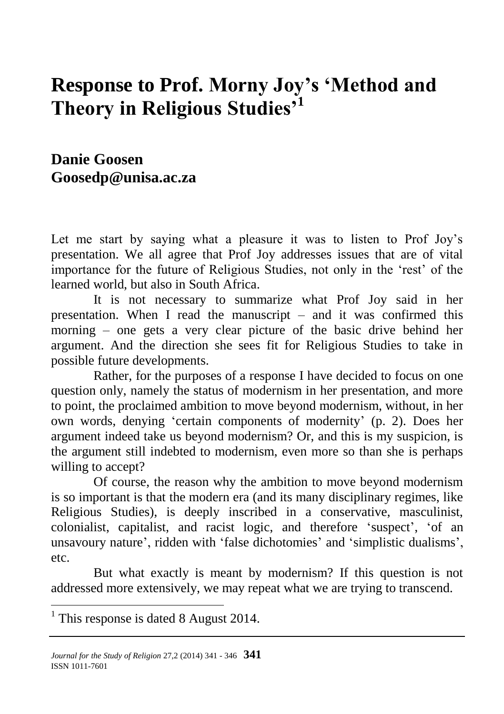# **Response to Prof. Morny Joy's 'Method and Theory in Religious Studies'<sup>1</sup>**

### **Danie Goosen [Goosedp@unisa.ac.za](mailto:Goosedp@unisa.ac.za)**

Let me start by saying what a pleasure it was to listen to Prof Joy's presentation. We all agree that Prof Joy addresses issues that are of vital importance for the future of Religious Studies, not only in the 'rest' of the learned world, but also in South Africa.

It is not necessary to summarize what Prof Joy said in her presentation. When I read the manuscript – and it was confirmed this morning – one gets a very clear picture of the basic drive behind her argument. And the direction she sees fit for Religious Studies to take in possible future developments.

Rather, for the purposes of a response I have decided to focus on one question only, namely the status of modernism in her presentation, and more to point, the proclaimed ambition to move beyond modernism, without, in her own words, denying 'certain components of modernity' (p. 2). Does her argument indeed take us beyond modernism? Or, and this is my suspicion, is the argument still indebted to modernism, even more so than she is perhaps willing to accept?

Of course, the reason why the ambition to move beyond modernism is so important is that the modern era (and its many disciplinary regimes, like Religious Studies), is deeply inscribed in a conservative, masculinist, colonialist, capitalist, and racist logic, and therefore 'suspect', 'of an unsavoury nature', ridden with 'false dichotomies' and 'simplistic dualisms', etc.

But what exactly is meant by modernism? If this question is not addressed more extensively, we may repeat what we are trying to transcend.

<sup>1</sup> This response is dated 8 August 2014.

 $\overline{a}$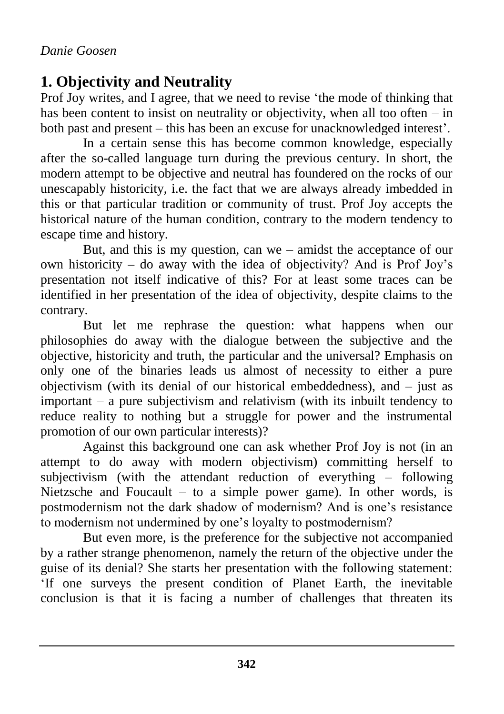# **1. Objectivity and Neutrality**

Prof Joy writes, and I agree, that we need to revise 'the mode of thinking that has been content to insist on neutrality or objectivity, when all too often – in both past and present – this has been an excuse for unacknowledged interest'.

In a certain sense this has become common knowledge, especially after the so-called language turn during the previous century. In short, the modern attempt to be objective and neutral has foundered on the rocks of our unescapably historicity, i.e. the fact that we are always already imbedded in this or that particular tradition or community of trust. Prof Joy accepts the historical nature of the human condition, contrary to the modern tendency to escape time and history.

But, and this is my question, can we – amidst the acceptance of our own historicity – do away with the idea of objectivity? And is Prof Joy's presentation not itself indicative of this? For at least some traces can be identified in her presentation of the idea of objectivity, despite claims to the contrary.

But let me rephrase the question: what happens when our philosophies do away with the dialogue between the subjective and the objective, historicity and truth, the particular and the universal? Emphasis on only one of the binaries leads us almost of necessity to either a pure objectivism (with its denial of our historical embeddedness), and – just as important – a pure subjectivism and relativism (with its inbuilt tendency to reduce reality to nothing but a struggle for power and the instrumental promotion of our own particular interests)?

Against this background one can ask whether Prof Joy is not (in an attempt to do away with modern objectivism) committing herself to subjectivism (with the attendant reduction of everything – following Nietzsche and Foucault – to a simple power game). In other words, is postmodernism not the dark shadow of modernism? And is one's resistance to modernism not undermined by one's loyalty to postmodernism?

But even more, is the preference for the subjective not accompanied by a rather strange phenomenon, namely the return of the objective under the guise of its denial? She starts her presentation with the following statement: 'If one surveys the present condition of Planet Earth, the inevitable conclusion is that it is facing a number of challenges that threaten its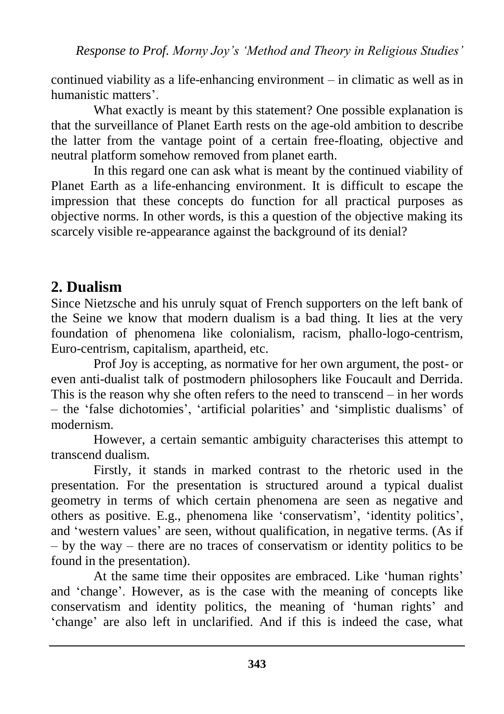continued viability as a life-enhancing environment – in climatic as well as in humanistic matters'.

What exactly is meant by this statement? One possible explanation is that the surveillance of Planet Earth rests on the age-old ambition to describe the latter from the vantage point of a certain free-floating, objective and neutral platform somehow removed from planet earth.

In this regard one can ask what is meant by the continued viability of Planet Earth as a life-enhancing environment. It is difficult to escape the impression that these concepts do function for all practical purposes as objective norms. In other words, is this a question of the objective making its scarcely visible re-appearance against the background of its denial?

## **2. Dualism**

Since Nietzsche and his unruly squat of French supporters on the left bank of the Seine we know that modern dualism is a bad thing. It lies at the very foundation of phenomena like colonialism, racism, phallo-logo-centrism, Euro-centrism, capitalism, apartheid, etc.

Prof Joy is accepting, as normative for her own argument, the post- or even anti-dualist talk of postmodern philosophers like Foucault and Derrida. This is the reason why she often refers to the need to transcend – in her words – the 'false dichotomies', 'artificial polarities' and 'simplistic dualisms' of modernism.

However, a certain semantic ambiguity characterises this attempt to transcend dualism.

Firstly, it stands in marked contrast to the rhetoric used in the presentation. For the presentation is structured around a typical dualist geometry in terms of which certain phenomena are seen as negative and others as positive. E.g., phenomena like 'conservatism', 'identity politics', and 'western values' are seen, without qualification, in negative terms. (As if – by the way – there are no traces of conservatism or identity politics to be found in the presentation).

At the same time their opposites are embraced. Like 'human rights' and 'change'. However, as is the case with the meaning of concepts like conservatism and identity politics, the meaning of 'human rights' and 'change' are also left in unclarified. And if this is indeed the case, what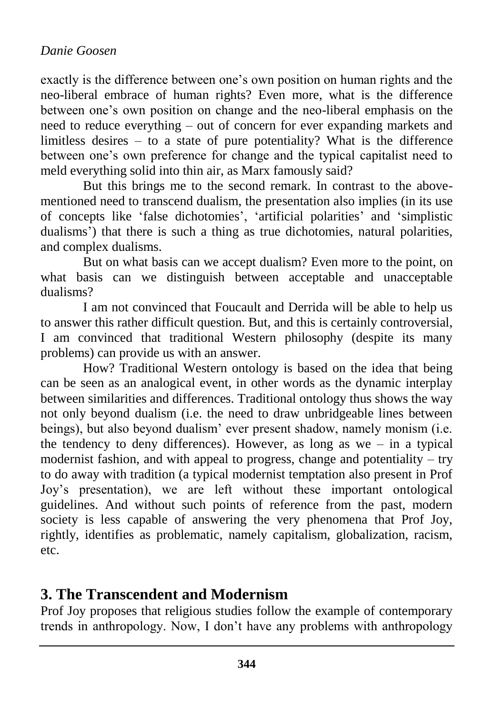#### *Danie Goosen*

exactly is the difference between one's own position on human rights and the neo-liberal embrace of human rights? Even more, what is the difference between one's own position on change and the neo-liberal emphasis on the need to reduce everything – out of concern for ever expanding markets and limitless desires – to a state of pure potentiality? What is the difference between one's own preference for change and the typical capitalist need to meld everything solid into thin air, as Marx famously said?

But this brings me to the second remark. In contrast to the abovementioned need to transcend dualism, the presentation also implies (in its use of concepts like 'false dichotomies', 'artificial polarities' and 'simplistic dualisms') that there is such a thing as true dichotomies, natural polarities, and complex dualisms.

But on what basis can we accept dualism? Even more to the point, on what basis can we distinguish between acceptable and unacceptable dualisms?

I am not convinced that Foucault and Derrida will be able to help us to answer this rather difficult question. But, and this is certainly controversial, I am convinced that traditional Western philosophy (despite its many problems) can provide us with an answer.

How? Traditional Western ontology is based on the idea that being can be seen as an analogical event, in other words as the dynamic interplay between similarities and differences. Traditional ontology thus shows the way not only beyond dualism (i.e. the need to draw unbridgeable lines between beings), but also beyond dualism' ever present shadow, namely monism (i.e. the tendency to deny differences). However, as long as we – in a typical modernist fashion, and with appeal to progress, change and potentiality – try to do away with tradition (a typical modernist temptation also present in Prof Joy's presentation), we are left without these important ontological guidelines. And without such points of reference from the past, modern society is less capable of answering the very phenomena that Prof Joy, rightly, identifies as problematic, namely capitalism, globalization, racism, etc.

#### **3. The Transcendent and Modernism**

Prof Joy proposes that religious studies follow the example of contemporary trends in anthropology. Now, I don't have any problems with anthropology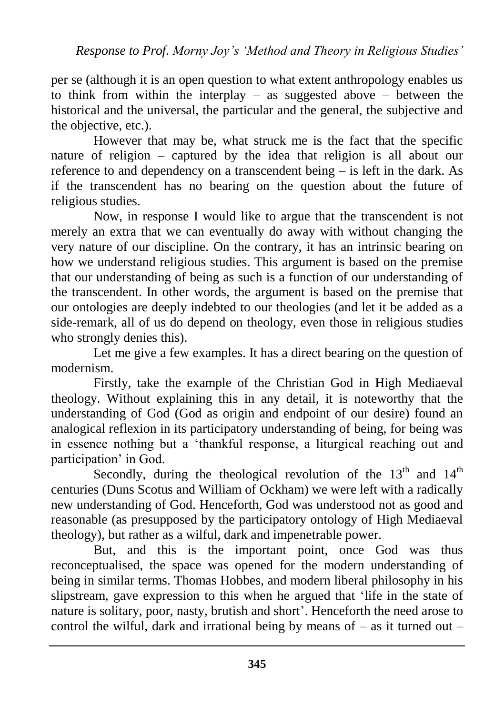per se (although it is an open question to what extent anthropology enables us to think from within the interplay – as suggested above – between the historical and the universal, the particular and the general, the subjective and the objective, etc.).

However that may be, what struck me is the fact that the specific nature of religion – captured by the idea that religion is all about our reference to and dependency on a transcendent being – is left in the dark. As if the transcendent has no bearing on the question about the future of religious studies.

Now, in response I would like to argue that the transcendent is not merely an extra that we can eventually do away with without changing the very nature of our discipline. On the contrary, it has an intrinsic bearing on how we understand religious studies. This argument is based on the premise that our understanding of being as such is a function of our understanding of the transcendent. In other words, the argument is based on the premise that our ontologies are deeply indebted to our theologies (and let it be added as a side-remark, all of us do depend on theology, even those in religious studies who strongly denies this).

Let me give a few examples. It has a direct bearing on the question of modernism.

Firstly, take the example of the Christian God in High Mediaeval theology. Without explaining this in any detail, it is noteworthy that the understanding of God (God as origin and endpoint of our desire) found an analogical reflexion in its participatory understanding of being, for being was in essence nothing but a 'thankful response, a liturgical reaching out and participation' in God.

Secondly, during the theological revolution of the  $13<sup>th</sup>$  and  $14<sup>th</sup>$ centuries (Duns Scotus and William of Ockham) we were left with a radically new understanding of God. Henceforth, God was understood not as good and reasonable (as presupposed by the participatory ontology of High Mediaeval theology), but rather as a wilful, dark and impenetrable power.

But, and this is the important point, once God was thus reconceptualised, the space was opened for the modern understanding of being in similar terms. Thomas Hobbes, and modern liberal philosophy in his slipstream, gave expression to this when he argued that 'life in the state of nature is solitary, poor, nasty, brutish and short'. Henceforth the need arose to control the wilful, dark and irrational being by means of  $-$  as it turned out  $-$